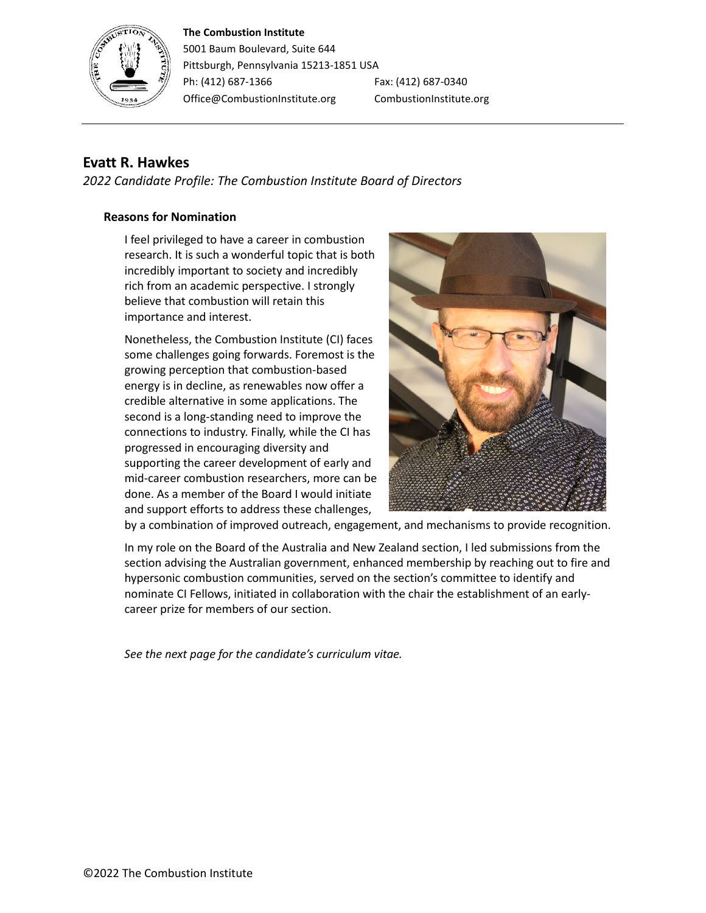#### **The Combustion Institute**



5001 Baum Boulevard, Suite 644 Pittsburgh, Pennsylvania 15213-1851 USA Ph: (412) 687-1366 Fax: (412) 687-0340 Office@CombustionInstitute.org CombustionInstitute.org

# **Evatt R. Hawkes**

*2022 Candidate Profile: The Combustion Institute Board of Directors*

#### **Reasons for Nomination**

I feel privileged to have a career in combustion research. It is such a wonderful topic that is both incredibly important to society and incredibly rich from an academic perspective. I strongly believe that combustion will retain this importance and interest.

Nonetheless, the Combustion Institute (CI) faces some challenges going forwards. Foremost is the growing perception that combustion-based energy is in decline, as renewables now offer a credible alternative in some applications. The second is a long-standing need to improve the connections to industry. Finally, while the CI has progressed in encouraging diversity and supporting the career development of early and mid-career combustion researchers, more can be done. As a member of the Board I would initiate and support efforts to address these challenges,



by a combination of improved outreach, engagement, and mechanisms to provide recognition.

In my role on the Board of the Australia and New Zealand section, I led submissions from the section advising the Australian government, enhanced membership by reaching out to fire and hypersonic combustion communities, served on the section's committee to identify and nominate CI Fellows, initiated in collaboration with the chair the establishment of an earlycareer prize for members of our section.

*See the next page for the candidate's curriculum vitae.*